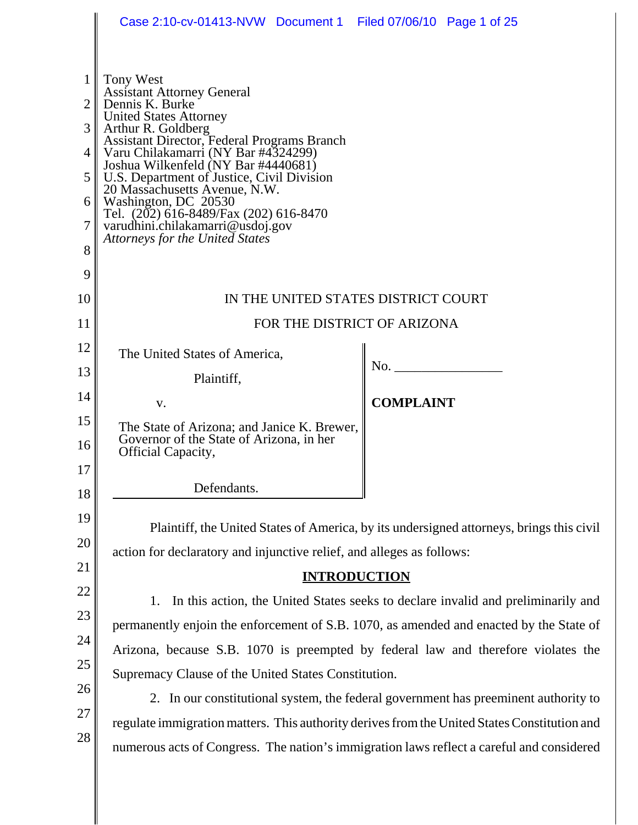|                                                      | Case 2:10-cv-01413-NVW Document 1 Filed 07/06/10 Page 1 of 25                                                                                                                                                                                                                                                                                                                                                                                                                 |                                                                                          |  |
|------------------------------------------------------|-------------------------------------------------------------------------------------------------------------------------------------------------------------------------------------------------------------------------------------------------------------------------------------------------------------------------------------------------------------------------------------------------------------------------------------------------------------------------------|------------------------------------------------------------------------------------------|--|
| $\mathbf{1}$<br>2<br>3<br>4<br>5<br>6<br>7<br>8<br>9 | Tony West<br><b>Assistant Attorney General</b><br>Dennis K. Burke<br><b>United States Attorney</b><br>Arthur R. Goldberg<br>Assistant Director, Federal Programs Branch<br>Varu Chilakamarri (NY Bar #4324299)<br>Joshua Wilkenfeld (NY Bar #4440681)<br>U.S. Department of Justice, Civil Division<br>20 Massachusetts Avenue, N.W.<br>Washington, DC 20530<br>Tel. (202) 616-8489/Fax (202) 616-8470<br>varudhini.chilakamarri@usdoj.gov<br>Attorneys for the United States |                                                                                          |  |
| 10                                                   | IN THE UNITED STATES DISTRICT COURT                                                                                                                                                                                                                                                                                                                                                                                                                                           |                                                                                          |  |
| 11                                                   | FOR THE DISTRICT OF ARIZONA                                                                                                                                                                                                                                                                                                                                                                                                                                                   |                                                                                          |  |
| 12                                                   | The United States of America,                                                                                                                                                                                                                                                                                                                                                                                                                                                 |                                                                                          |  |
| 13                                                   | Plaintiff,                                                                                                                                                                                                                                                                                                                                                                                                                                                                    | No.                                                                                      |  |
| 14                                                   | V.                                                                                                                                                                                                                                                                                                                                                                                                                                                                            | <b>COMPLAINT</b>                                                                         |  |
| 15<br>16                                             | The State of Arizona; and Janice K. Brewer,<br>Governor of the State of Arizona, in her<br>Official Capacity,                                                                                                                                                                                                                                                                                                                                                                 |                                                                                          |  |
| 17                                                   |                                                                                                                                                                                                                                                                                                                                                                                                                                                                               |                                                                                          |  |
| 18                                                   | Defendants.                                                                                                                                                                                                                                                                                                                                                                                                                                                                   |                                                                                          |  |
| 19                                                   |                                                                                                                                                                                                                                                                                                                                                                                                                                                                               | Plaintiff, the United States of America, by its undersigned attorneys, brings this civil |  |
| 20                                                   | action for declaratory and injunctive relief, and alleges as follows:                                                                                                                                                                                                                                                                                                                                                                                                         |                                                                                          |  |
| 21                                                   | <b>INTRODUCTION</b>                                                                                                                                                                                                                                                                                                                                                                                                                                                           |                                                                                          |  |
| 22                                                   | 1. In this action, the United States seeks to declare invalid and preliminarily and                                                                                                                                                                                                                                                                                                                                                                                           |                                                                                          |  |
| 23                                                   | permanently enjoin the enforcement of S.B. 1070, as amended and enacted by the State of                                                                                                                                                                                                                                                                                                                                                                                       |                                                                                          |  |
| 24                                                   | Arizona, because S.B. 1070 is preempted by federal law and therefore violates the                                                                                                                                                                                                                                                                                                                                                                                             |                                                                                          |  |
| 25<br>26                                             | Supremacy Clause of the United States Constitution.                                                                                                                                                                                                                                                                                                                                                                                                                           |                                                                                          |  |
| 27                                                   | 2. In our constitutional system, the federal government has preeminent authority to                                                                                                                                                                                                                                                                                                                                                                                           |                                                                                          |  |
| 28                                                   | regulate immigration matters. This authority derives from the United States Constitution and                                                                                                                                                                                                                                                                                                                                                                                  |                                                                                          |  |
|                                                      | numerous acts of Congress. The nation's immigration laws reflect a careful and considered                                                                                                                                                                                                                                                                                                                                                                                     |                                                                                          |  |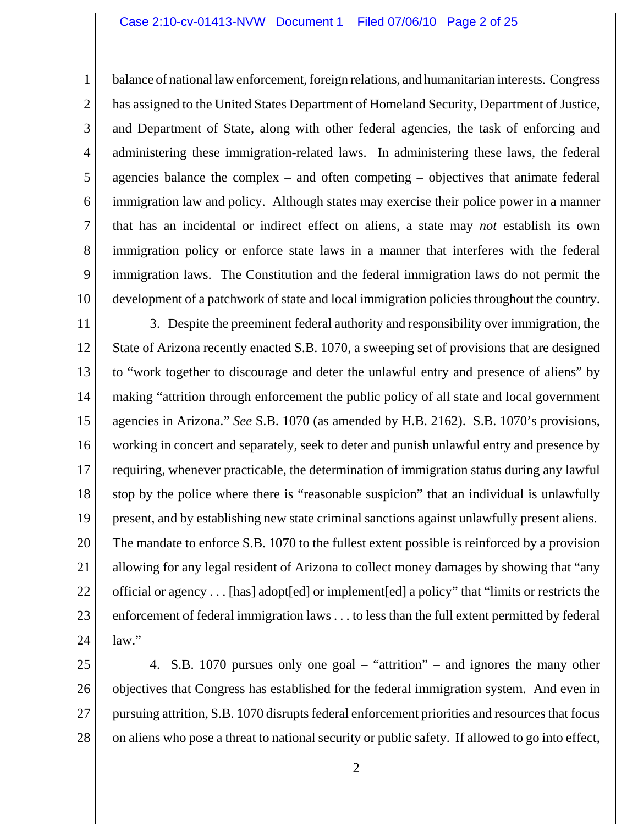1 2 3 4 5 6 7 8 9 10 balance of national law enforcement, foreign relations, and humanitarian interests. Congress has assigned to the United States Department of Homeland Security, Department of Justice, and Department of State, along with other federal agencies, the task of enforcing and administering these immigration-related laws. In administering these laws, the federal agencies balance the complex – and often competing – objectives that animate federal immigration law and policy. Although states may exercise their police power in a manner that has an incidental or indirect effect on aliens, a state may *not* establish its own immigration policy or enforce state laws in a manner that interferes with the federal immigration laws. The Constitution and the federal immigration laws do not permit the development of a patchwork of state and local immigration policies throughout the country.

11 12 13 14 15 16 17 18 19 20 21 22 23 24 3. Despite the preeminent federal authority and responsibility over immigration, the State of Arizona recently enacted S.B. 1070, a sweeping set of provisions that are designed to "work together to discourage and deter the unlawful entry and presence of aliens" by making "attrition through enforcement the public policy of all state and local government agencies in Arizona." *See* S.B. 1070 (as amended by H.B. 2162). S.B. 1070's provisions, working in concert and separately, seek to deter and punish unlawful entry and presence by requiring, whenever practicable, the determination of immigration status during any lawful stop by the police where there is "reasonable suspicion" that an individual is unlawfully present, and by establishing new state criminal sanctions against unlawfully present aliens. The mandate to enforce S.B. 1070 to the fullest extent possible is reinforced by a provision allowing for any legal resident of Arizona to collect money damages by showing that "any official or agency . . . [has] adopt[ed] or implement[ed] a policy" that "limits or restricts the enforcement of federal immigration laws . . . to less than the full extent permitted by federal law."

25 26 27 28 4. S.B. 1070 pursues only one goal – "attrition" – and ignores the many other objectives that Congress has established for the federal immigration system. And even in pursuing attrition, S.B. 1070 disrupts federal enforcement priorities and resources that focus on aliens who pose a threat to national security or public safety. If allowed to go into effect,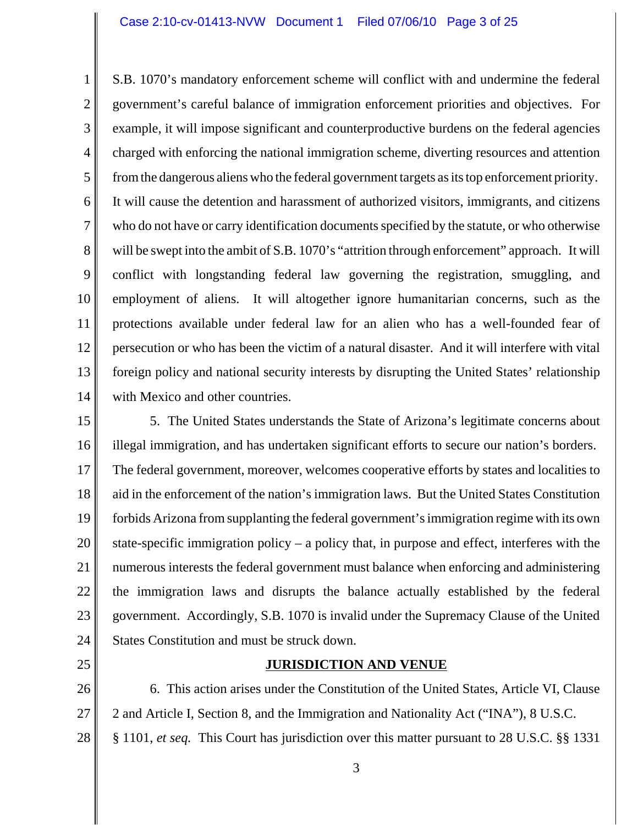1 2 3 4 5 6 7 8 9 10 11 12 13 14 S.B. 1070's mandatory enforcement scheme will conflict with and undermine the federal government's careful balance of immigration enforcement priorities and objectives. For example, it will impose significant and counterproductive burdens on the federal agencies charged with enforcing the national immigration scheme, diverting resources and attention from the dangerous aliens who the federal government targets as its top enforcement priority. It will cause the detention and harassment of authorized visitors, immigrants, and citizens who do not have or carry identification documents specified by the statute, or who otherwise will be swept into the ambit of S.B. 1070's "attrition through enforcement" approach. It will conflict with longstanding federal law governing the registration, smuggling, and employment of aliens. It will altogether ignore humanitarian concerns, such as the protections available under federal law for an alien who has a well-founded fear of persecution or who has been the victim of a natural disaster. And it will interfere with vital foreign policy and national security interests by disrupting the United States' relationship with Mexico and other countries.

15 16 17 18 19 20 21 22 23 24 5. The United States understands the State of Arizona's legitimate concerns about illegal immigration, and has undertaken significant efforts to secure our nation's borders. The federal government, moreover, welcomes cooperative efforts by states and localities to aid in the enforcement of the nation's immigration laws. But the United States Constitution forbids Arizona from supplanting the federal government's immigration regime with its own state-specific immigration policy – a policy that, in purpose and effect, interferes with the numerous interests the federal government must balance when enforcing and administering the immigration laws and disrupts the balance actually established by the federal government. Accordingly, S.B. 1070 is invalid under the Supremacy Clause of the United States Constitution and must be struck down.

25

## **JURISDICTION AND VENUE**

26 27 28 6. This action arises under the Constitution of the United States, Article VI, Clause 2 and Article I, Section 8, and the Immigration and Nationality Act ("INA"), 8 U.S.C. § 1101, *et seq.* This Court has jurisdiction over this matter pursuant to 28 U.S.C. §§ 1331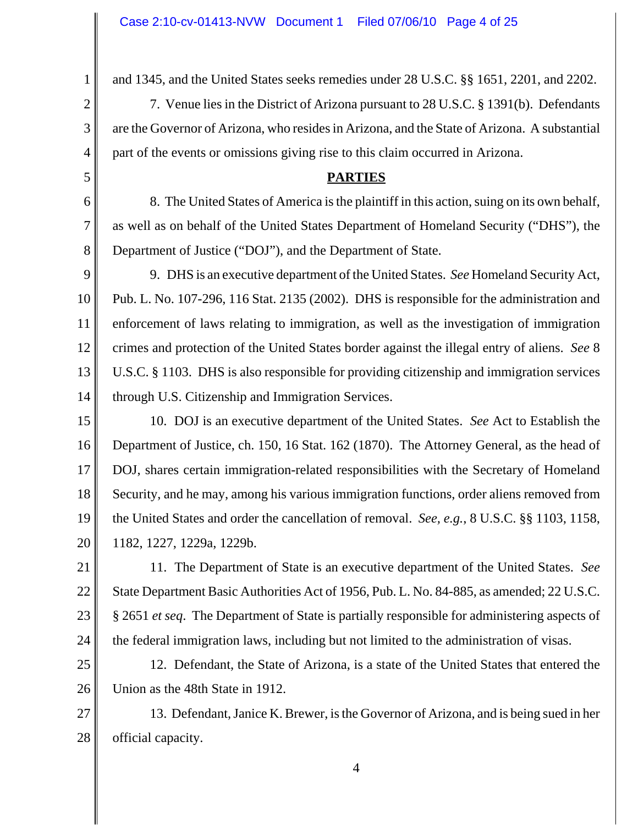1

2

3

4

5

6

7

8

and 1345, and the United States seeks remedies under 28 U.S.C. §§ 1651, 2201, and 2202.

7. Venue lies in the District of Arizona pursuant to 28 U.S.C. § 1391(b). Defendants are the Governor of Arizona, who resides in Arizona, and the State of Arizona. A substantial part of the events or omissions giving rise to this claim occurred in Arizona.

## **PARTIES**

8. The United States of America is the plaintiff in this action, suing on its own behalf, as well as on behalf of the United States Department of Homeland Security ("DHS"), the Department of Justice ("DOJ"), and the Department of State.

9 10 11 12 13 14 9. DHS is an executive department of the United States. *See* Homeland Security Act, Pub. L. No. 107-296, 116 Stat. 2135 (2002). DHS is responsible for the administration and enforcement of laws relating to immigration, as well as the investigation of immigration crimes and protection of the United States border against the illegal entry of aliens. *See* 8 U.S.C. § 1103. DHS is also responsible for providing citizenship and immigration services through U.S. Citizenship and Immigration Services.

15 16 17 18 19 20 10. DOJ is an executive department of the United States. *See* Act to Establish the Department of Justice, ch. 150, 16 Stat. 162 (1870). The Attorney General, as the head of DOJ, shares certain immigration-related responsibilities with the Secretary of Homeland Security, and he may, among his various immigration functions, order aliens removed from the United States and order the cancellation of removal. *See, e.g.*, 8 U.S.C. §§ 1103, 1158, 1182, 1227, 1229a, 1229b.

21 22 23 24 11. The Department of State is an executive department of the United States. *See* State Department Basic Authorities Act of 1956, Pub. L. No. 84-885, as amended; 22 U.S.C. § 2651 *et seq*. The Department of State is partially responsible for administering aspects of the federal immigration laws, including but not limited to the administration of visas.

25 26 12. Defendant, the State of Arizona, is a state of the United States that entered the Union as the 48th State in 1912.

27 28 13. Defendant, Janice K. Brewer, is the Governor of Arizona, and is being sued in her official capacity.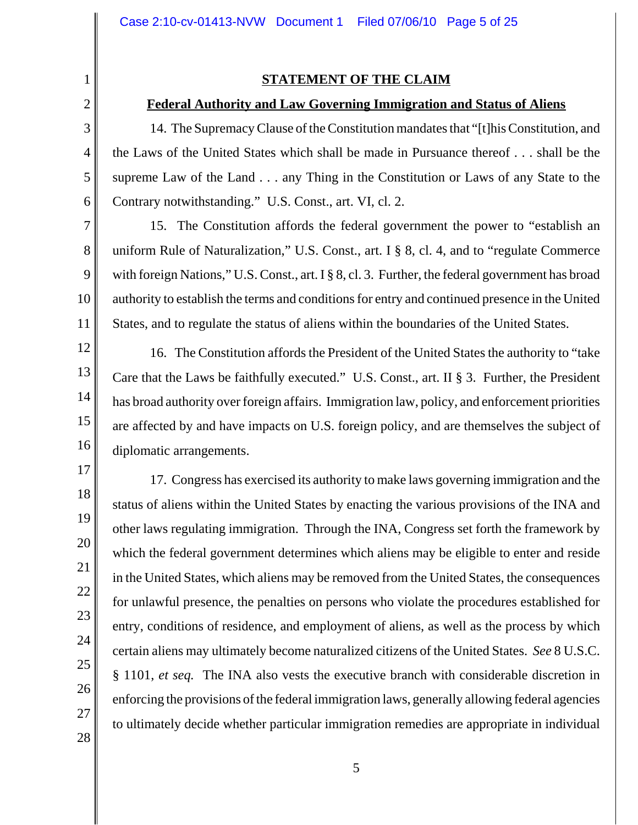## **STATEMENT OF THE CLAIM**

#### **Federal Authority and Law Governing Immigration and Status of Aliens**

14. The Supremacy Clause of the Constitution mandates that "[t]his Constitution, and the Laws of the United States which shall be made in Pursuance thereof . . . shall be the supreme Law of the Land . . . any Thing in the Constitution or Laws of any State to the Contrary notwithstanding." U.S. Const., art. VI, cl. 2.

15. The Constitution affords the federal government the power to "establish an uniform Rule of Naturalization," U.S. Const., art. I § 8, cl. 4, and to "regulate Commerce with foreign Nations," U.S. Const., art. I § 8, cl. 3. Further, the federal government has broad authority to establish the terms and conditions for entry and continued presence in the United States, and to regulate the status of aliens within the boundaries of the United States.

16. The Constitution affords the President of the United States the authority to "take Care that the Laws be faithfully executed." U.S. Const., art. II § 3. Further, the President has broad authority over foreign affairs. Immigration law, policy, and enforcement priorities are affected by and have impacts on U.S. foreign policy, and are themselves the subject of diplomatic arrangements.

17. Congress has exercised its authority to make laws governing immigration and the status of aliens within the United States by enacting the various provisions of the INA and other laws regulating immigration. Through the INA, Congress set forth the framework by which the federal government determines which aliens may be eligible to enter and reside in the United States, which aliens may be removed from the United States, the consequences for unlawful presence, the penalties on persons who violate the procedures established for entry, conditions of residence, and employment of aliens, as well as the process by which certain aliens may ultimately become naturalized citizens of the United States. *See* 8 U.S.C. § 1101, *et seq.* The INA also vests the executive branch with considerable discretion in enforcing the provisions of the federal immigration laws, generally allowing federal agencies to ultimately decide whether particular immigration remedies are appropriate in individual

28

1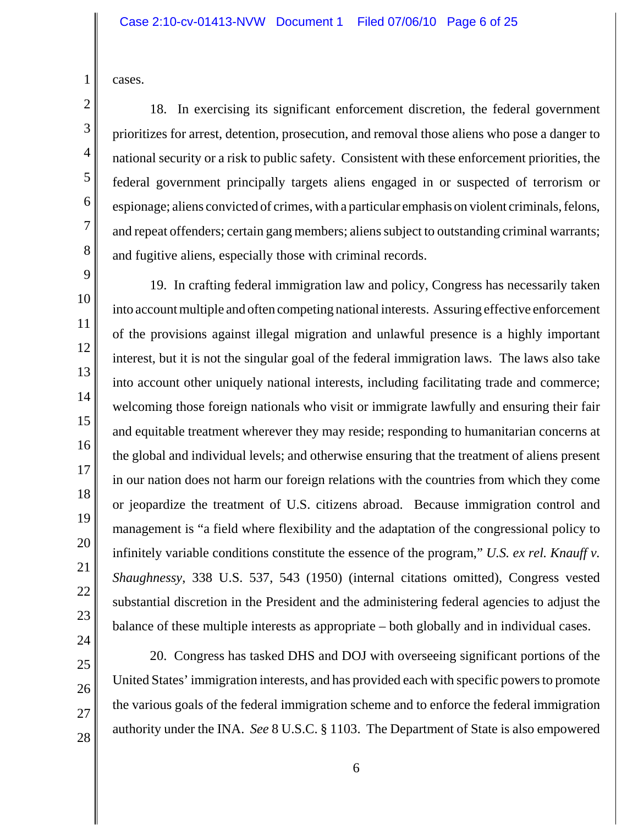cases.

1

2

3

4

5

6

7

8

9

10

11

12

13

14

15

16

17

18

19

20

21

22

23

18. In exercising its significant enforcement discretion, the federal government prioritizes for arrest, detention, prosecution, and removal those aliens who pose a danger to national security or a risk to public safety. Consistent with these enforcement priorities, the federal government principally targets aliens engaged in or suspected of terrorism or espionage; aliens convicted of crimes, with a particular emphasis on violent criminals, felons, and repeat offenders; certain gang members; aliens subject to outstanding criminal warrants; and fugitive aliens, especially those with criminal records.

19. In crafting federal immigration law and policy, Congress has necessarily taken into account multiple and often competing national interests. Assuring effective enforcement of the provisions against illegal migration and unlawful presence is a highly important interest, but it is not the singular goal of the federal immigration laws. The laws also take into account other uniquely national interests, including facilitating trade and commerce; welcoming those foreign nationals who visit or immigrate lawfully and ensuring their fair and equitable treatment wherever they may reside; responding to humanitarian concerns at the global and individual levels; and otherwise ensuring that the treatment of aliens present in our nation does not harm our foreign relations with the countries from which they come or jeopardize the treatment of U.S. citizens abroad. Because immigration control and management is "a field where flexibility and the adaptation of the congressional policy to infinitely variable conditions constitute the essence of the program," *U.S. ex rel. Knauff v. Shaughnessy*, 338 U.S. 537, 543 (1950) (internal citations omitted), Congress vested substantial discretion in the President and the administering federal agencies to adjust the balance of these multiple interests as appropriate – both globally and in individual cases.

28

20. Congress has tasked DHS and DOJ with overseeing significant portions of the United States' immigration interests, and has provided each with specific powers to promote the various goals of the federal immigration scheme and to enforce the federal immigration authority under the INA. *See* 8 U.S.C. § 1103. The Department of State is also empowered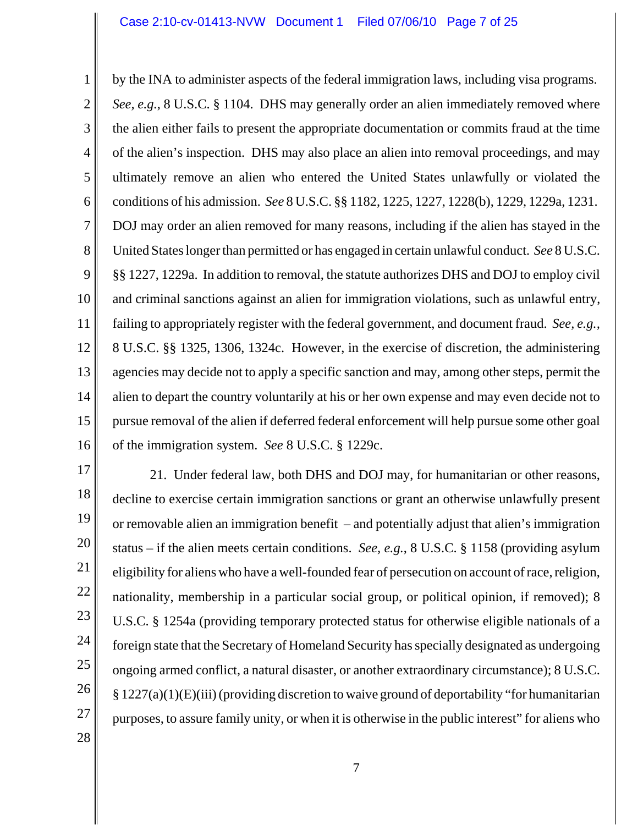1 2 3 4 5 6 7 8 9 10 11 12 13 14 15 16 by the INA to administer aspects of the federal immigration laws, including visa programs. *See, e.g.*, 8 U.S.C. § 1104. DHS may generally order an alien immediately removed where the alien either fails to present the appropriate documentation or commits fraud at the time of the alien's inspection. DHS may also place an alien into removal proceedings, and may ultimately remove an alien who entered the United States unlawfully or violated the conditions of his admission. *See* 8 U.S.C. §§ 1182, 1225, 1227, 1228(b), 1229, 1229a, 1231. DOJ may order an alien removed for many reasons, including if the alien has stayed in the United States longer than permitted or has engaged in certain unlawful conduct. *See* 8 U.S.C. §§ 1227, 1229a. In addition to removal, the statute authorizes DHS and DOJ to employ civil and criminal sanctions against an alien for immigration violations, such as unlawful entry, failing to appropriately register with the federal government, and document fraud. *See, e.g.,* 8 U.S.C. §§ 1325, 1306, 1324c. However, in the exercise of discretion, the administering agencies may decide not to apply a specific sanction and may, among other steps, permit the alien to depart the country voluntarily at his or her own expense and may even decide not to pursue removal of the alien if deferred federal enforcement will help pursue some other goal of the immigration system. *See* 8 U.S.C. § 1229c.

17 18 19 20 21 22 23 24 25 26 27 28 21. Under federal law, both DHS and DOJ may, for humanitarian or other reasons, decline to exercise certain immigration sanctions or grant an otherwise unlawfully present or removable alien an immigration benefit – and potentially adjust that alien's immigration status – if the alien meets certain conditions. *See, e.g.*, 8 U.S.C. § 1158 (providing asylum eligibility for aliens who have a well-founded fear of persecution on account of race, religion, nationality, membership in a particular social group, or political opinion, if removed); 8 U.S.C. § 1254a (providing temporary protected status for otherwise eligible nationals of a foreign state that the Secretary of Homeland Security has specially designated as undergoing ongoing armed conflict, a natural disaster, or another extraordinary circumstance); 8 U.S.C.  $\S 1227(a)(1)(E)(iii)$  (providing discretion to waive ground of deportability "for humanitarian purposes, to assure family unity, or when it is otherwise in the public interest" for aliens who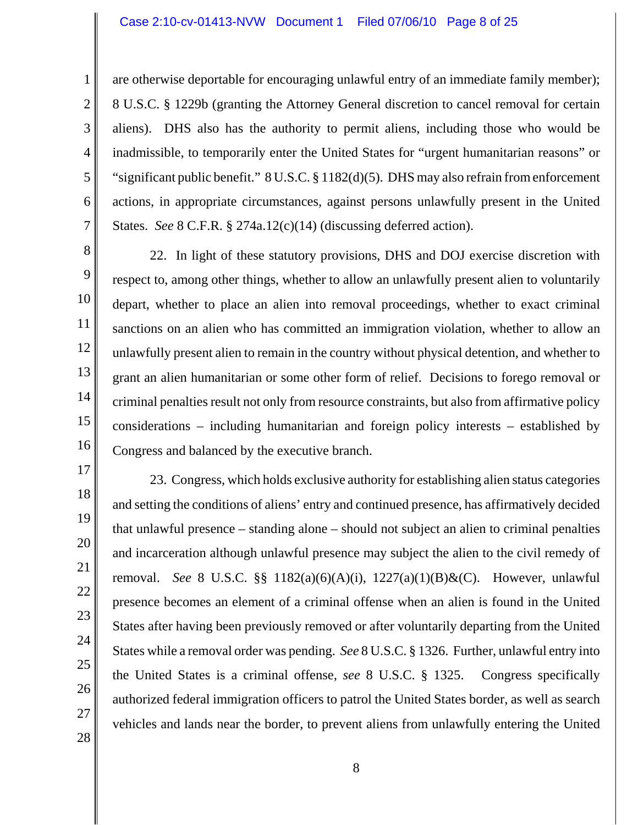are otherwise deportable for encouraging unlawful entry of an immediate family member); 8 U.S.C. § 1229b (granting the Attorney General discretion to cancel removal for certain aliens). DHS also has the authority to permit aliens, including those who would be inadmissible, to temporarily enter the United States for "urgent humanitarian reasons" or "significant public benefit." 8 U.S.C. § 1182(d)(5). DHS may also refrain from enforcement actions, in appropriate circumstances, against persons unlawfully present in the United States. *See* 8 C.F.R. § 274a.12(c)(14) (discussing deferred action).

8 9 10

11

12

13

14

15

16

17

18

19

20

21

22

23

24

25

26

27

28

1

2

3

4

5

6

7

22. In light of these statutory provisions, DHS and DOJ exercise discretion with respect to, among other things, whether to allow an unlawfully present alien to voluntarily depart, whether to place an alien into removal proceedings, whether to exact criminal sanctions on an alien who has committed an immigration violation, whether to allow an unlawfully present alien to remain in the country without physical detention, and whether to grant an alien humanitarian or some other form of relief.Decisions to forego removal or criminal penalties result not only from resource constraints, but also from affirmative policy considerations – including humanitarian and foreign policy interests – established by Congress and balanced by the executive branch.

23. Congress, which holds exclusive authority for establishing alien status categories and setting the conditions of aliens' entry and continued presence, has affirmatively decided that unlawful presence – standing alone – should not subject an alien to criminal penalties and incarceration although unlawful presence may subject the alien to the civil remedy of removal. *See* 8 U.S.C. §§ 1182(a)(6)(A)(i), 1227(a)(1)(B)&(C). However, unlawful presence becomes an element of a criminal offense when an alien is found in the United States after having been previously removed or after voluntarily departing from the United States while a removal order was pending. *See* 8 U.S.C. § 1326. Further, unlawful entry into the United States is a criminal offense, *see* 8 U.S.C. § 1325. Congress specifically authorized federal immigration officers to patrol the United States border, as well as search vehicles and lands near the border, to prevent aliens from unlawfully entering the United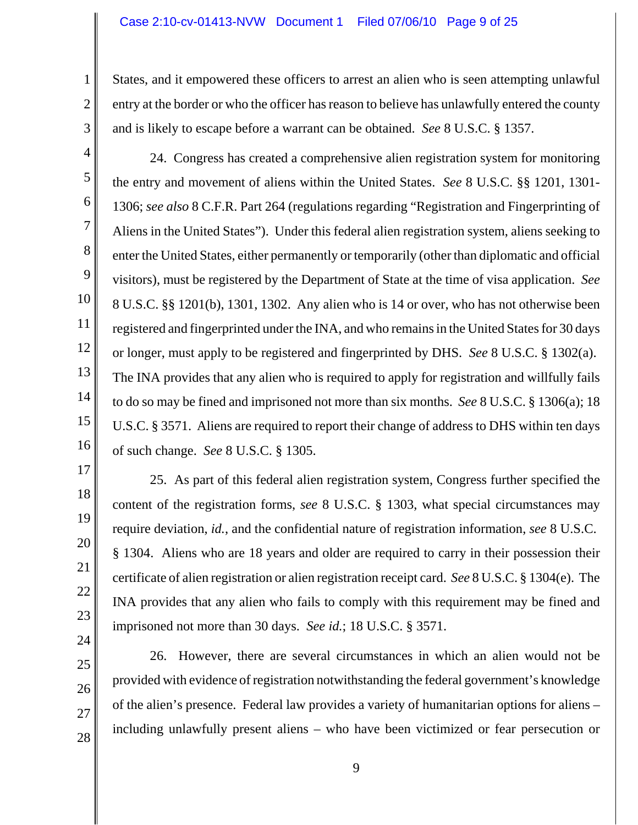States, and it empowered these officers to arrest an alien who is seen attempting unlawful entry at the border or who the officer has reason to believe has unlawfully entered the county and is likely to escape before a warrant can be obtained. *See* 8 U.S.C. § 1357.

3 4 5

6

7

8

9

10

11

12

1

2

24. Congress has created a comprehensive alien registration system for monitoring the entry and movement of aliens within the United States. *See* 8 U.S.C. §§ 1201, 1301- 1306; *see also* 8 C.F.R. Part 264 (regulations regarding "Registration and Fingerprinting of Aliens in the United States"). Under this federal alien registration system, aliens seeking to enter the United States, either permanently or temporarily (other than diplomatic and official visitors), must be registered by the Department of State at the time of visa application. *See* 8 U.S.C. §§ 1201(b), 1301, 1302. Any alien who is 14 or over, who has not otherwise been registered and fingerprinted under the INA, and who remains in the United States for 30 days or longer, must apply to be registered and fingerprinted by DHS. *See* 8 U.S.C. § 1302(a). The INA provides that any alien who is required to apply for registration and willfully fails to do so may be fined and imprisoned not more than six months. *See* 8 U.S.C. § 1306(a); 18 U.S.C. § 3571. Aliens are required to report their change of address to DHS within ten days of such change. *See* 8 U.S.C. § 1305.

25. As part of this federal alien registration system, Congress further specified the content of the registration forms, *see* 8 U.S.C. § 1303, what special circumstances may require deviation, *id.*, and the confidential nature of registration information, *see* 8 U.S.C. § 1304. Aliens who are 18 years and older are required to carry in their possession their certificate of alien registration or alien registration receipt card. *See* 8 U.S.C. § 1304(e). The INA provides that any alien who fails to comply with this requirement may be fined and imprisoned not more than 30 days. *See id.*; 18 U.S.C. § 3571.

26. However, there are several circumstances in which an alien would not be provided with evidence of registration notwithstanding the federal government's knowledge of the alien's presence. Federal law provides a variety of humanitarian options for aliens – including unlawfully present aliens – who have been victimized or fear persecution or

27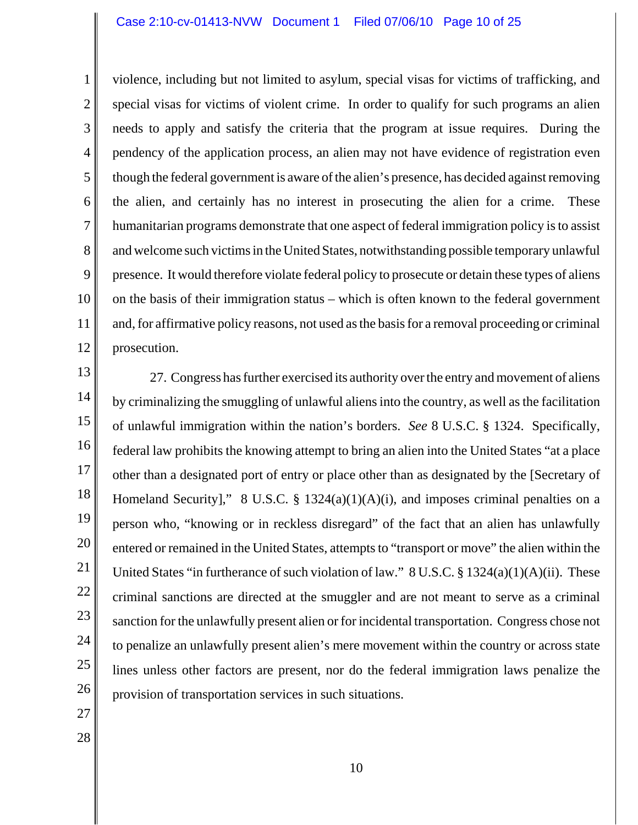#### Case 2:10-cv-01413-NVW Document 1 Filed 07/06/10 Page 10 of 25

2 3 4 6 8 10 11 12 violence, including but not limited to asylum, special visas for victims of trafficking, and special visas for victims of violent crime. In order to qualify for such programs an alien needs to apply and satisfy the criteria that the program at issue requires. During the pendency of the application process, an alien may not have evidence of registration even though the federal government is aware of the alien's presence, has decided against removing the alien, and certainly has no interest in prosecuting the alien for a crime. These humanitarian programs demonstrate that one aspect of federal immigration policy is to assist and welcome such victims in the United States, notwithstanding possible temporary unlawful presence. It would therefore violate federal policy to prosecute or detain these types of aliens on the basis of their immigration status – which is often known to the federal government and, for affirmative policy reasons, not used as the basis for a removal proceeding or criminal prosecution.

13 14 15 16 17 18 19 20 21 22 23 24 25 26 27. Congress has further exercised its authority over the entry and movement of aliens by criminalizing the smuggling of unlawful aliens into the country, as well as the facilitation of unlawful immigration within the nation's borders. *See* 8 U.S.C. § 1324. Specifically, federal law prohibits the knowing attempt to bring an alien into the United States "at a place other than a designated port of entry or place other than as designated by the [Secretary of Homeland Security]," 8 U.S.C. § 1324(a)(1)(A)(i), and imposes criminal penalties on a person who, "knowing or in reckless disregard" of the fact that an alien has unlawfully entered or remained in the United States, attempts to "transport or move" the alien within the United States "in furtherance of such violation of law."  $8 \text{ U.S.C.} \$ § 1324(a)(1)(A)(ii). These criminal sanctions are directed at the smuggler and are not meant to serve as a criminal sanction for the unlawfully present alien or for incidental transportation. Congress chose not to penalize an unlawfully present alien's mere movement within the country or across state lines unless other factors are present, nor do the federal immigration laws penalize the provision of transportation services in such situations.

27

1

5

7

9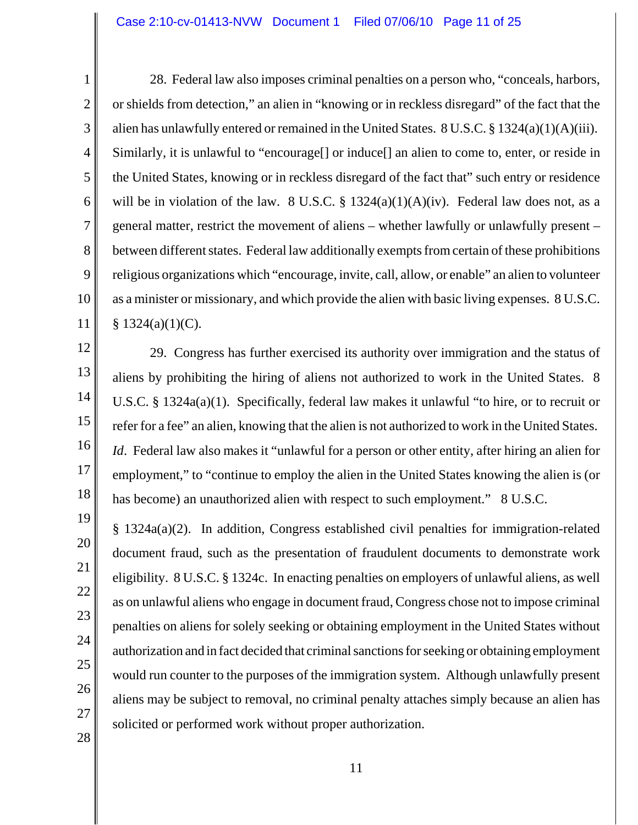1

2

3

4

5

6

7

8

9

10

11

12

13

14

15

16

17

18

19

20

21

22

23

24

25

26

27

28

28. Federal law also imposes criminal penalties on a person who, "conceals, harbors, or shields from detection," an alien in "knowing or in reckless disregard" of the fact that the alien has unlawfully entered or remained in the United States. 8 U.S.C. § 1324(a)(1)(A)(iii). Similarly, it is unlawful to "encourage[] or induce[] an alien to come to, enter, or reside in the United States, knowing or in reckless disregard of the fact that" such entry or residence will be in violation of the law. 8 U.S.C.  $\S$  1324(a)(1)(A)(iv). Federal law does not, as a general matter, restrict the movement of aliens – whether lawfully or unlawfully present – between different states. Federal law additionally exempts from certain of these prohibitions religious organizations which "encourage, invite, call, allow, or enable" an alien to volunteer as a minister or missionary, and which provide the alien with basic living expenses.8 U.S.C.  $§ 1324(a)(1)(C).$ 

29. Congress has further exercised its authority over immigration and the status of aliens by prohibiting the hiring of aliens not authorized to work in the United States. 8 U.S.C. § 1324a(a)(1). Specifically, federal law makes it unlawful "to hire, or to recruit or refer for a fee" an alien, knowing that the alien is not authorized to work in the United States. *Id*. Federal law also makes it "unlawful for a person or other entity, after hiring an alien for employment," to "continue to employ the alien in the United States knowing the alien is (or has become) an unauthorized alien with respect to such employment." 8 U.S.C.

§ 1324a(a)(2). In addition, Congress established civil penalties for immigration-related document fraud, such as the presentation of fraudulent documents to demonstrate work eligibility. 8 U.S.C. § 1324c. In enacting penalties on employers of unlawful aliens, as well as on unlawful aliens who engage in document fraud, Congress chose not to impose criminal penalties on aliens for solely seeking or obtaining employment in the United States without authorization and in fact decided that criminal sanctions for seeking or obtaining employment would run counter to the purposes of the immigration system. Although unlawfully present aliens may be subject to removal, no criminal penalty attaches simply because an alien has solicited or performed work without proper authorization.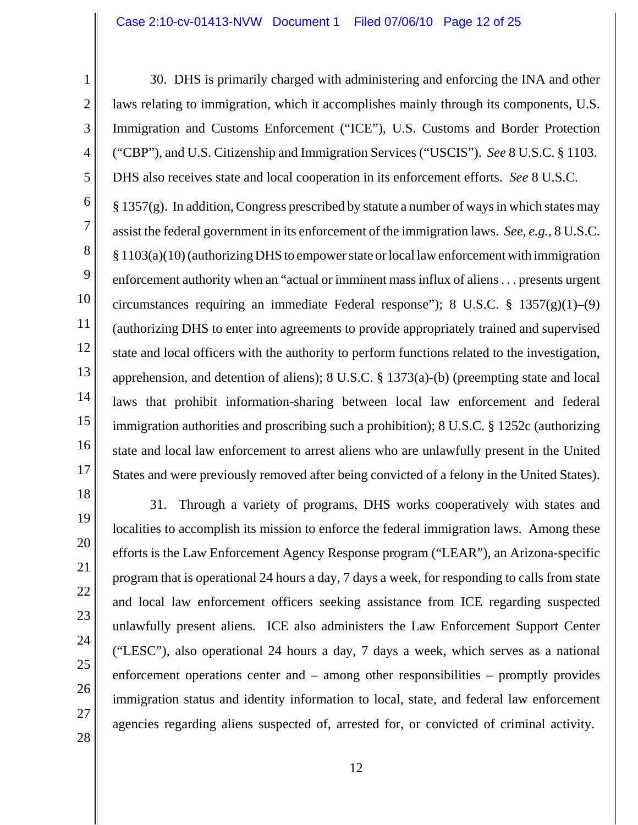30. DHS is primarily charged with administering and enforcing the INA and other laws relating to immigration, which it accomplishes mainly through its components, U.S. Immigration and Customs Enforcement ("ICE"), U.S. Customs and Border Protection ("CBP"), and U.S. Citizenship and Immigration Services ("USCIS"). *See* 8 U.S.C. § 1103. DHS also receives state and local cooperation in its enforcement efforts. *See* 8 U.S.C.

6 8 9 10 11 12 13 14 15 16 17  $\S 1357(g)$ . In addition, Congress prescribed by statute a number of ways in which states may assist the federal government in its enforcement of the immigration laws. *See, e.g.*, 8 U.S.C. § 1103(a)(10) (authorizing DHS to empower state or local law enforcement with immigration enforcement authority when an "actual or imminent mass influx of aliens . . . presents urgent circumstances requiring an immediate Federal response"); 8 U.S.C.  $\S$  1357(g)(1)–(9) (authorizing DHS to enter into agreements to provide appropriately trained and supervised state and local officers with the authority to perform functions related to the investigation, apprehension, and detention of aliens); 8 U.S.C. § 1373(a)-(b) (preempting state and local laws that prohibit information-sharing between local law enforcement and federal immigration authorities and proscribing such a prohibition); 8 U.S.C. § 1252c (authorizing state and local law enforcement to arrest aliens who are unlawfully present in the United States and were previously removed after being convicted of a felony in the United States).

28

1

2

3

4

5

7

31. Through a variety of programs, DHS works cooperatively with states and localities to accomplish its mission to enforce the federal immigration laws. Among these efforts is the Law Enforcement Agency Response program ("LEAR"), an Arizona-specific program that is operational 24 hours a day, 7 days a week, for responding to calls from state and local law enforcement officers seeking assistance from ICE regarding suspected unlawfully present aliens. ICE also administers the Law Enforcement Support Center ("LESC"), also operational 24 hours a day, 7 days a week, which serves as a national enforcement operations center and – among other responsibilities – promptly provides immigration status and identity information to local, state, and federal law enforcement agencies regarding aliens suspected of, arrested for, or convicted of criminal activity.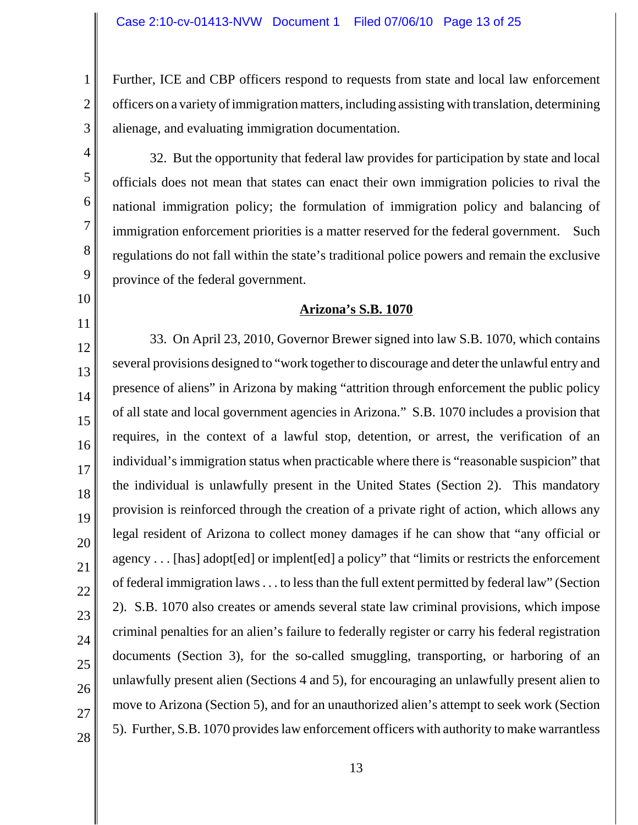Further, ICE and CBP officers respond to requests from state and local law enforcement officers on a variety of immigration matters, including assisting with translation, determining alienage, and evaluating immigration documentation.

32. But the opportunity that federal law provides for participation by state and local officials does not mean that states can enact their own immigration policies to rival the national immigration policy; the formulation of immigration policy and balancing of immigration enforcement priorities is a matter reserved for the federal government. Such regulations do not fall within the state's traditional police powers and remain the exclusive province of the federal government.

## **Arizona's S.B. 1070**

33. On April 23, 2010, Governor Brewer signed into law S.B. 1070, which contains several provisions designed to "work together to discourage and deter the unlawful entry and presence of aliens" in Arizona by making "attrition through enforcement the public policy of all state and local government agencies in Arizona." S.B. 1070 includes a provision that requires, in the context of a lawful stop, detention, or arrest, the verification of an individual's immigration status when practicable where there is "reasonable suspicion" that the individual is unlawfully present in the United States (Section 2). This mandatory provision is reinforced through the creation of a private right of action, which allows any legal resident of Arizona to collect money damages if he can show that "any official or agency . . . [has] adopt[ed] or implent[ed] a policy" that "limits or restricts the enforcement of federal immigration laws . . . to less than the full extent permitted by federal law" (Section 2). S.B. 1070 also creates or amends several state law criminal provisions, which impose criminal penalties for an alien's failure to federally register or carry his federal registration documents (Section 3), for the so-called smuggling, transporting, or harboring of an unlawfully present alien (Sections 4 and 5), for encouraging an unlawfully present alien to move to Arizona (Section 5), and for an unauthorized alien's attempt to seek work (Section 5). Further, S.B. 1070 provides law enforcement officers with authority to make warrantless

27

28

1

2

3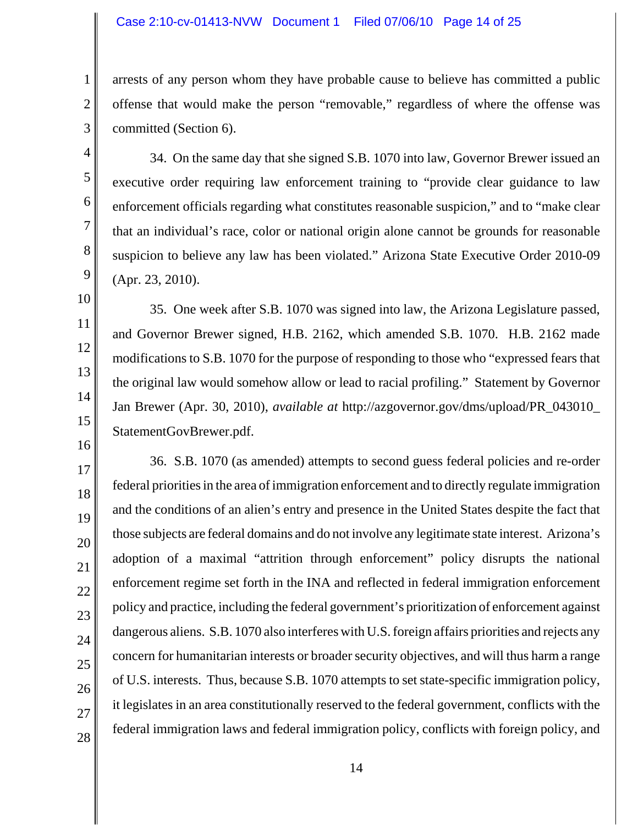arrests of any person whom they have probable cause to believe has committed a public offense that would make the person "removable," regardless of where the offense was committed (Section 6).

34. On the same day that she signed S.B. 1070 into law, Governor Brewer issued an executive order requiring law enforcement training to "provide clear guidance to law enforcement officials regarding what constitutes reasonable suspicion," and to "make clear that an individual's race, color or national origin alone cannot be grounds for reasonable suspicion to believe any law has been violated." Arizona State Executive Order 2010-09 (Apr. 23, 2010).

35. One week after S.B. 1070 was signed into law, the Arizona Legislature passed, and Governor Brewer signed, H.B. 2162, which amended S.B. 1070. H.B. 2162 made modifications to S.B. 1070 for the purpose of responding to those who "expressed fears that the original law would somehow allow or lead to racial profiling." Statement by Governor Jan Brewer (Apr. 30, 2010), *available at* http://azgovernor.gov/dms/upload/PR\_043010\_ StatementGovBrewer.pdf.

36. S.B. 1070 (as amended) attempts to second guess federal policies and re-order federal priorities in the area of immigration enforcement and to directly regulate immigration and the conditions of an alien's entry and presence in the United States despite the fact that those subjects are federal domains and do not involve any legitimate state interest. Arizona's adoption of a maximal "attrition through enforcement" policy disrupts the national enforcement regime set forth in the INA and reflected in federal immigration enforcement policy and practice, including the federal government's prioritization of enforcement against dangerous aliens. S.B. 1070 also interferes with U.S. foreign affairs priorities and rejects any concern for humanitarian interests or broader security objectives, and will thus harm a range of U.S. interests. Thus, because S.B. 1070 attempts to set state-specific immigration policy, it legislates in an area constitutionally reserved to the federal government, conflicts with the federal immigration laws and federal immigration policy, conflicts with foreign policy, and

1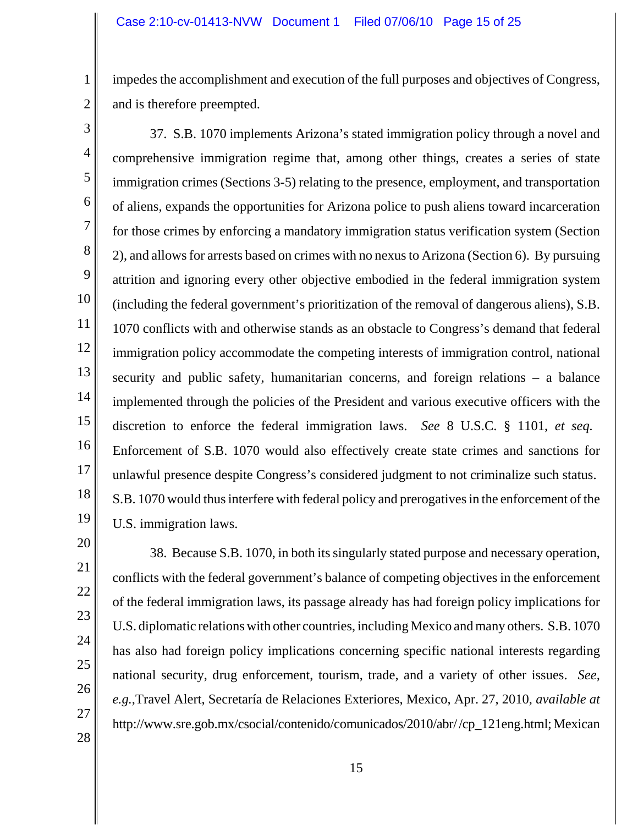impedes the accomplishment and execution of the full purposes and objectives of Congress, and is therefore preempted.

3 4 5 6 7 8 9 10 11 12 13 14 15 16 17 18 19 37. S.B. 1070 implements Arizona's stated immigration policy through a novel and comprehensive immigration regime that, among other things, creates a series of state immigration crimes (Sections 3-5) relating to the presence, employment, and transportation of aliens, expands the opportunities for Arizona police to push aliens toward incarceration for those crimes by enforcing a mandatory immigration status verification system (Section 2), and allowsfor arrests based on crimes with no nexusto Arizona (Section 6). By pursuing attrition and ignoring every other objective embodied in the federal immigration system (including the federal government's prioritization of the removal of dangerous aliens), S.B. 1070 conflicts with and otherwise stands as an obstacle to Congress's demand that federal immigration policy accommodate the competing interests of immigration control, national security and public safety, humanitarian concerns, and foreign relations – a balance implemented through the policies of the President and various executive officers with the discretion to enforce the federal immigration laws. *See* 8 U.S.C. § 1101, *et seq.* Enforcement of S.B. 1070 would also effectively create state crimes and sanctions for unlawful presence despite Congress's considered judgment to not criminalize such status. S.B. 1070 would thus interfere with federal policy and prerogatives in the enforcement of the U.S. immigration laws.

27

28

1

2

38. Because S.B. 1070, in both its singularly stated purpose and necessary operation, conflicts with the federal government's balance of competing objectives in the enforcement of the federal immigration laws, its passage already has had foreign policy implications for U.S. diplomatic relations with other countries, including Mexico and many others. S.B. 1070 has also had foreign policy implications concerning specific national interests regarding national security, drug enforcement, tourism, trade, and a variety of other issues. *See, e.g.*,Travel Alert, Secretaría de Relaciones Exteriores, Mexico, Apr. 27, 2010, *available at* http://www.sre.gob.mx/csocial/contenido/comunicados/2010/abr/ /cp\_121eng.html; Mexican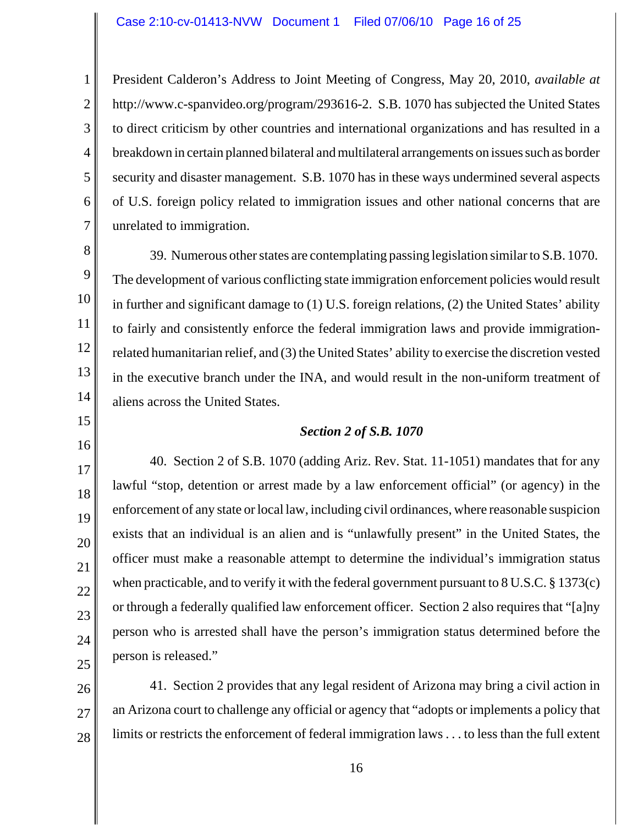1

2

3

4

5

6

7

15

16

17

18

19

20

21

22

23

24

25

President Calderon's Address to Joint Meeting of Congress, May 20, 2010, *available at* http://www.c-spanvideo.org/program/293616-2. S.B. 1070 has subjected the United States to direct criticism by other countries and international organizations and has resulted in a breakdown in certain planned bilateral and multilateral arrangements on issues such as border security and disaster management. S.B. 1070 has in these ways undermined several aspects of U.S. foreign policy related to immigration issues and other national concerns that are unrelated to immigration.

8 9 10 11 12 13 14 39. Numerous other states are contemplating passing legislation similar to S.B. 1070. The development of various conflicting state immigration enforcement policies would result in further and significant damage to (1) U.S. foreign relations, (2) the United States' ability to fairly and consistently enforce the federal immigration laws and provide immigrationrelated humanitarian relief, and (3) the United States' ability to exercise the discretion vested in the executive branch under the INA, and would result in the non-uniform treatment of aliens across the United States.

## *Section 2 of S.B. 1070*

40. Section 2 of S.B. 1070 (adding Ariz. Rev. Stat. 11-1051) mandates that for any lawful "stop, detention or arrest made by a law enforcement official" (or agency) in the enforcement of any state or local law, including civil ordinances, where reasonable suspicion exists that an individual is an alien and is "unlawfully present" in the United States, the officer must make a reasonable attempt to determine the individual's immigration status when practicable, and to verify it with the federal government pursuant to 8 U.S.C. § 1373(c) or through a federally qualified law enforcement officer. Section 2 also requires that "[a]ny person who is arrested shall have the person's immigration status determined before the person is released."

26 27 28 41. Section 2 provides that any legal resident of Arizona may bring a civil action in an Arizona court to challenge any official or agency that "adopts or implements a policy that limits or restricts the enforcement of federal immigration laws . . . to less than the full extent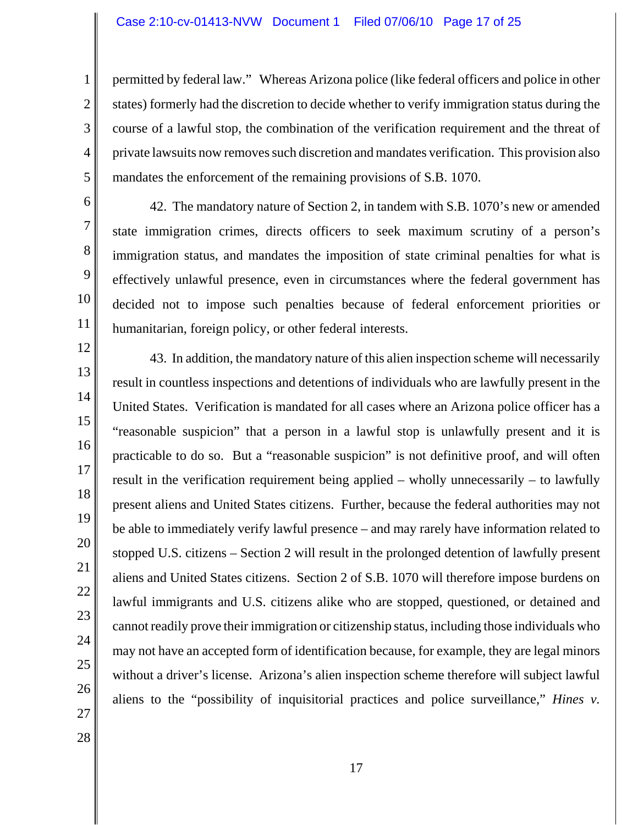permitted by federal law." Whereas Arizona police (like federal officers and police in other states) formerly had the discretion to decide whether to verify immigration status during the course of a lawful stop, the combination of the verification requirement and the threat of private lawsuits now removes such discretion and mandates verification. This provision also mandates the enforcement of the remaining provisions of S.B. 1070.

6 7 8

9

10

11

12

13

14

15

16

17

18

19

20

21

22

23

24

25

26

1

2

3

4

5

42. The mandatory nature of Section 2, in tandem with S.B. 1070's new or amended state immigration crimes, directs officers to seek maximum scrutiny of a person's immigration status, and mandates the imposition of state criminal penalties for what is effectively unlawful presence, even in circumstances where the federal government has decided not to impose such penalties because of federal enforcement priorities or humanitarian, foreign policy, or other federal interests.

43. In addition, the mandatory nature of this alien inspection scheme will necessarily result in countless inspections and detentions of individuals who are lawfully present in the United States. Verification is mandated for all cases where an Arizona police officer has a "reasonable suspicion" that a person in a lawful stop is unlawfully present and it is practicable to do so. But a "reasonable suspicion" is not definitive proof, and will often result in the verification requirement being applied – wholly unnecessarily – to lawfully present aliens and United States citizens. Further, because the federal authorities may not be able to immediately verify lawful presence – and may rarely have information related to stopped U.S. citizens – Section 2 will result in the prolonged detention of lawfully present aliens and United States citizens. Section 2 of S.B. 1070 will therefore impose burdens on lawful immigrants and U.S. citizens alike who are stopped, questioned, or detained and cannot readily prove their immigration or citizenship status, including those individuals who may not have an accepted form of identification because, for example, they are legal minors without a driver's license. Arizona's alien inspection scheme therefore will subject lawful aliens to the "possibility of inquisitorial practices and police surveillance," *Hines v.*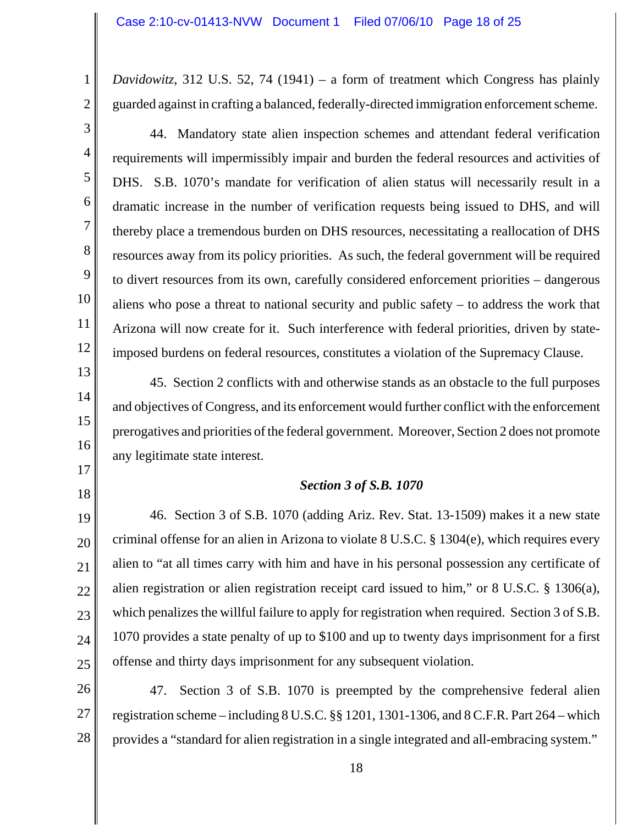*Davidowitz*, 312 U.S. 52, 74 (1941) – a form of treatment which Congress has plainly guarded against in crafting a balanced, federally-directed immigration enforcement scheme.

1

2

44. Mandatory state alien inspection schemes and attendant federal verification requirements will impermissibly impair and burden the federal resources and activities of DHS. S.B. 1070's mandate for verification of alien status will necessarily result in a dramatic increase in the number of verification requests being issued to DHS, and will thereby place a tremendous burden on DHS resources, necessitating a reallocation of DHS resources away from its policy priorities. As such, the federal government will be required to divert resources from its own, carefully considered enforcement priorities – dangerous aliens who pose a threat to national security and public safety – to address the work that Arizona will now create for it. Such interference with federal priorities, driven by stateimposed burdens on federal resources, constitutes a violation of the Supremacy Clause.

45. Section 2 conflicts with and otherwise stands as an obstacle to the full purposes and objectives of Congress, and its enforcement would further conflict with the enforcement prerogatives and priorities of the federal government. Moreover, Section 2 does not promote any legitimate state interest.

## *Section 3 of S.B. 1070*

25 46. Section 3 of S.B. 1070 (adding Ariz. Rev. Stat. 13-1509) makes it a new state criminal offense for an alien in Arizona to violate 8 U.S.C. § 1304(e), which requires every alien to "at all times carry with him and have in his personal possession any certificate of alien registration or alien registration receipt card issued to him," or 8 U.S.C. § 1306(a), which penalizes the willful failure to apply for registration when required. Section 3 of S.B. 1070 provides a state penalty of up to \$100 and up to twenty days imprisonment for a first offense and thirty days imprisonment for any subsequent violation.

26 27 28 47. Section 3 of S.B. 1070 is preempted by the comprehensive federal alien registration scheme – including 8 U.S.C. §§ 1201, 1301-1306, and 8 C.F.R. Part 264 – which provides a "standard for alien registration in a single integrated and all-embracing system."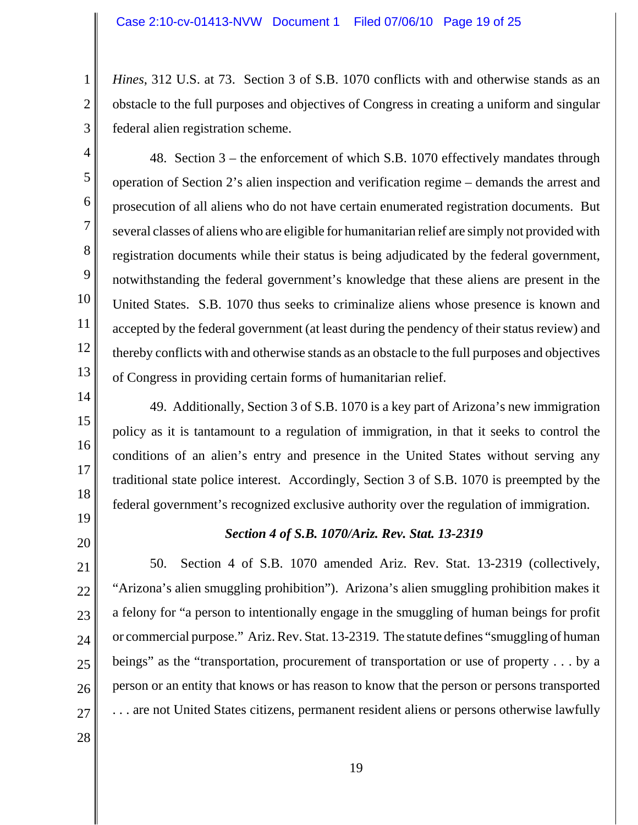*Hines*, 312 U.S. at 73. Section 3 of S.B. 1070 conflicts with and otherwise stands as an obstacle to the full purposes and objectives of Congress in creating a uniform and singular federal alien registration scheme.

3 4

5

6

7

8

9

10

11

12

13

1

2

48. Section 3 – the enforcement of which S.B. 1070 effectively mandates through operation of Section 2's alien inspection and verification regime – demands the arrest and prosecution of all aliens who do not have certain enumerated registration documents. But several classes of aliens who are eligible for humanitarian relief are simply not provided with registration documents while their status is being adjudicated by the federal government, notwithstanding the federal government's knowledge that these aliens are present in the United States. S.B. 1070 thus seeks to criminalize aliens whose presence is known and accepted by the federal government (at least during the pendency of their status review) and thereby conflicts with and otherwise stands as an obstacle to the full purposes and objectives of Congress in providing certain forms of humanitarian relief.

- 14 15 16 17 18 19 49. Additionally, Section 3 of S.B. 1070 is a key part of Arizona's new immigration policy as it is tantamount to a regulation of immigration, in that it seeks to control the conditions of an alien's entry and presence in the United States without serving any traditional state police interest. Accordingly, Section 3 of S.B. 1070 is preempted by the federal government's recognized exclusive authority over the regulation of immigration.
- 20

## *Section 4 of S.B. 1070/Ariz. Rev. Stat. 13-2319*

21 22 23 24 25 26 27 50. Section 4 of S.B. 1070 amended Ariz. Rev. Stat. 13-2319 (collectively, "Arizona's alien smuggling prohibition"). Arizona's alien smuggling prohibition makes it a felony for "a person to intentionally engage in the smuggling of human beings for profit or commercial purpose." Ariz. Rev. Stat. 13-2319. The statute defines "smuggling of human beings" as the "transportation, procurement of transportation or use of property . . . by a person or an entity that knows or has reason to know that the person or persons transported . . . are not United States citizens, permanent resident aliens or persons otherwise lawfully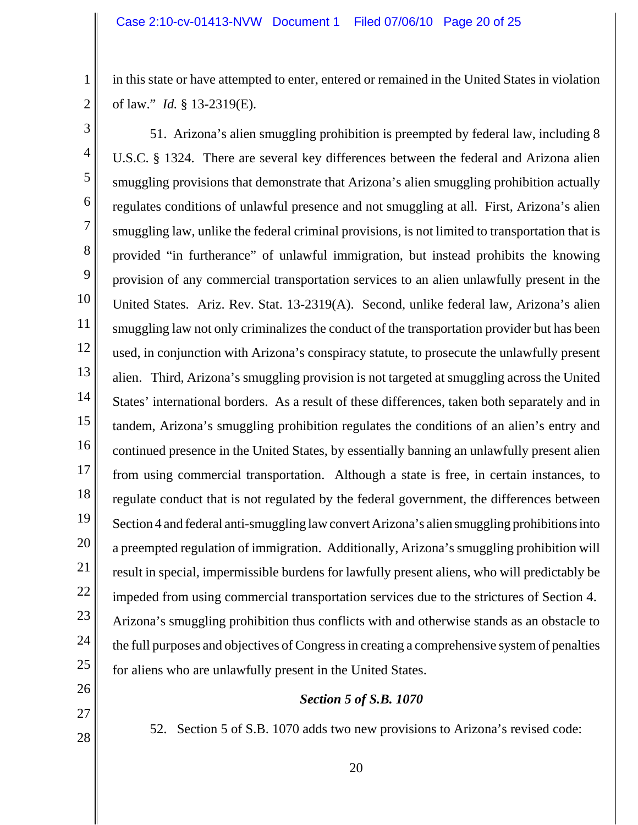in this state or have attempted to enter, entered or remained in the United States in violation of law." *Id.* § 13-2319(E).

2 3 5

27

28

1

4 6 7 8 9 10 11 12 13 14 15 16 17 18 19 20 21 22 23 24 25 26 51. Arizona's alien smuggling prohibition is preempted by federal law, including 8 U.S.C. § 1324. There are several key differences between the federal and Arizona alien smuggling provisions that demonstrate that Arizona's alien smuggling prohibition actually regulates conditions of unlawful presence and not smuggling at all. First, Arizona's alien smuggling law, unlike the federal criminal provisions, is not limited to transportation that is provided "in furtherance" of unlawful immigration, but instead prohibits the knowing provision of any commercial transportation services to an alien unlawfully present in the United States. Ariz. Rev. Stat. 13-2319(A). Second, unlike federal law, Arizona's alien smuggling law not only criminalizes the conduct of the transportation provider but has been used, in conjunction with Arizona's conspiracy statute, to prosecute the unlawfully present alien. Third, Arizona's smuggling provision is not targeted at smuggling across the United States' international borders. As a result of these differences, taken both separately and in tandem, Arizona's smuggling prohibition regulates the conditions of an alien's entry and continued presence in the United States, by essentially banning an unlawfully present alien from using commercial transportation. Although a state is free, in certain instances, to regulate conduct that is not regulated by the federal government, the differences between Section 4 and federal anti-smuggling law convert Arizona's alien smuggling prohibitions into a preempted regulation of immigration. Additionally, Arizona's smuggling prohibition will result in special, impermissible burdens for lawfully present aliens, who will predictably be impeded from using commercial transportation services due to the strictures of Section 4. Arizona's smuggling prohibition thus conflicts with and otherwise stands as an obstacle to the full purposes and objectives of Congress in creating a comprehensive system of penalties for aliens who are unlawfully present in the United States.

# *Section 5 of S.B. 1070*

52. Section 5 of S.B. 1070 adds two new provisions to Arizona's revised code: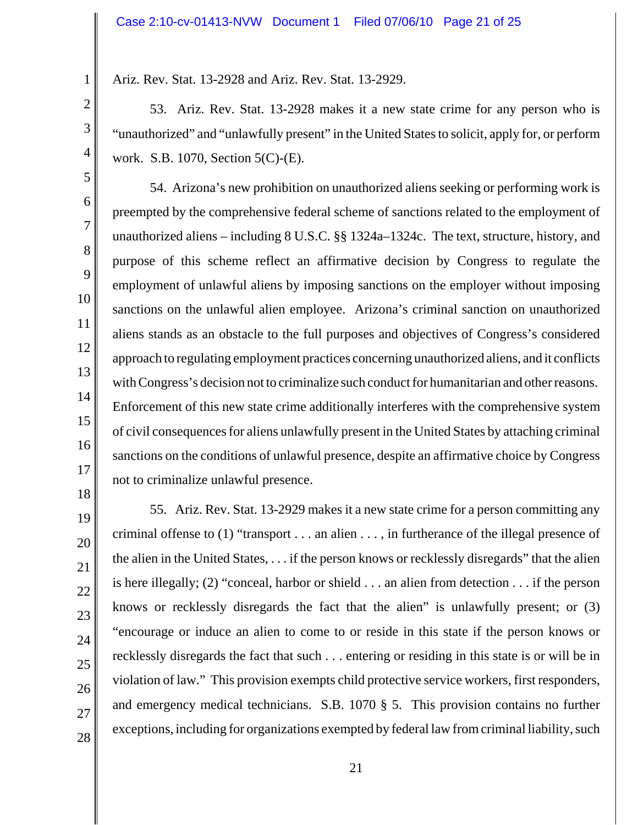Ariz. Rev. Stat. 13-2928 and Ariz. Rev. Stat. 13-2929.

53. Ariz. Rev. Stat. 13-2928 makes it a new state crime for any person who is "unauthorized" and "unlawfully present" in the United States to solicit, apply for, or perform work. S.B. 1070, Section 5(C)-(E).

54. Arizona's new prohibition on unauthorized aliens seeking or performing work is preempted by the comprehensive federal scheme of sanctions related to the employment of unauthorized aliens – including 8 U.S.C. §§ 1324a–1324c. The text, structure, history, and purpose of this scheme reflect an affirmative decision by Congress to regulate the employment of unlawful aliens by imposing sanctions on the employer without imposing sanctions on the unlawful alien employee. Arizona's criminal sanction on unauthorized aliens stands as an obstacle to the full purposes and objectives of Congress's considered approach to regulating employment practices concerning unauthorized aliens, and it conflicts with Congress's decision not to criminalize such conduct for humanitarian and other reasons. Enforcement of this new state crime additionally interferes with the comprehensive system of civil consequences for aliens unlawfully present in the United States by attaching criminal sanctions on the conditions of unlawful presence, despite an affirmative choice by Congress not to criminalize unlawful presence.

55. Ariz. Rev. Stat. 13-2929 makes it a new state crime for a person committing any criminal offense to (1) "transport . . . an alien . . . , in furtherance of the illegal presence of the alien in the United States, . . . if the person knows or recklessly disregards" that the alien is here illegally; (2) "conceal, harbor or shield . . . an alien from detection . . . if the person knows or recklessly disregards the fact that the alien" is unlawfully present; or (3) "encourage or induce an alien to come to or reside in this state if the person knows or recklessly disregards the fact that such . . . entering or residing in this state is or will be in violation of law." This provision exempts child protective service workers, first responders, and emergency medical technicians. S.B. 1070 § 5. This provision contains no further exceptions, including for organizations exempted by federal law from criminal liability, such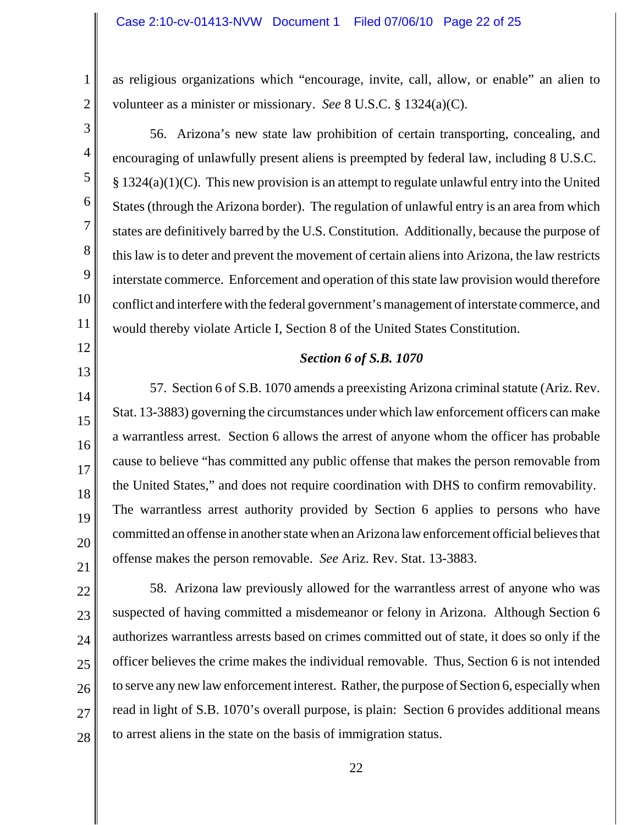as religious organizations which "encourage, invite, call, allow, or enable" an alien to volunteer as a minister or missionary. *See* 8 U.S.C. § 1324(a)(C).

56. Arizona's new state law prohibition of certain transporting, concealing, and encouraging of unlawfully present aliens is preempted by federal law, including 8 U.S.C.  $\S 1324(a)(1)(C)$ . This new provision is an attempt to regulate unlawful entry into the United States (through the Arizona border). The regulation of unlawful entry is an area from which states are definitively barred by the U.S. Constitution. Additionally, because the purpose of this law is to deter and prevent the movement of certain aliens into Arizona, the law restricts interstate commerce. Enforcement and operation of this state law provision would therefore conflict and interfere with the federal government's management of interstate commerce, and would thereby violate Article I, Section 8 of the United States Constitution.

## *Section 6 of S.B. 1070*

57. Section 6 of S.B. 1070 amends a preexisting Arizona criminal statute (Ariz. Rev. Stat. 13-3883) governing the circumstances under which law enforcement officers can make a warrantless arrest. Section 6 allows the arrest of anyone whom the officer has probable cause to believe "has committed any public offense that makes the person removable from the United States," and does not require coordination with DHS to confirm removability. The warrantless arrest authority provided by Section 6 applies to persons who have committed an offense in another state when an Arizona law enforcement official believes that offense makes the person removable. *See* Ariz. Rev. Stat. 13-3883.

58. Arizona law previously allowed for the warrantless arrest of anyone who was suspected of having committed a misdemeanor or felony in Arizona. Although Section 6 authorizes warrantless arrests based on crimes committed out of state, it does so only if the officer believes the crime makes the individual removable. Thus, Section 6 is not intended to serve any new law enforcement interest. Rather, the purpose of Section 6, especially when read in light of S.B. 1070's overall purpose, is plain: Section 6 provides additional means to arrest aliens in the state on the basis of immigration status.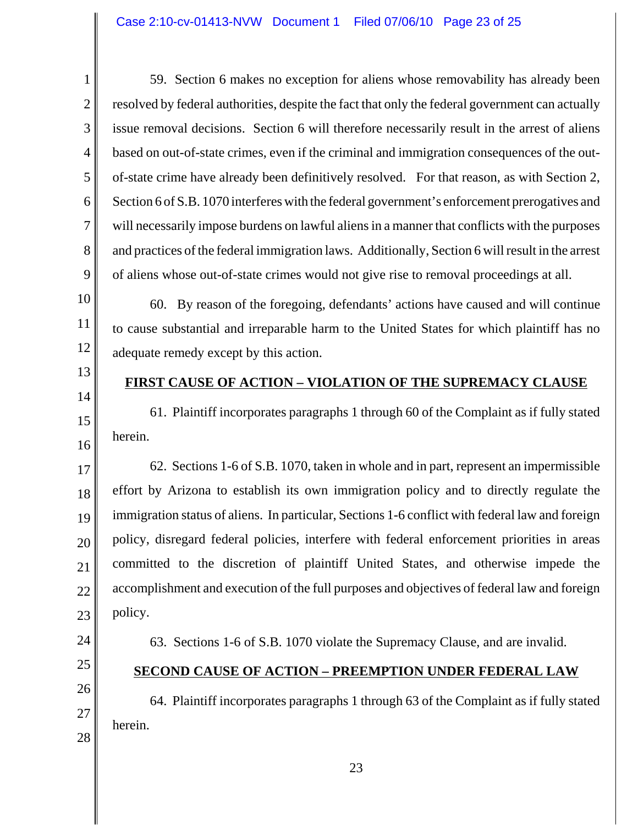59. Section 6 makes no exception for aliens whose removability has already been resolved by federal authorities, despite the fact that only the federal government can actually issue removal decisions. Section 6 will therefore necessarily result in the arrest of aliens based on out-of-state crimes, even if the criminal and immigration consequences of the outof-state crime have already been definitively resolved. For that reason, as with Section 2, Section 6 of S.B. 1070 interferes with the federal government's enforcement prerogatives and will necessarily impose burdens on lawful aliens in a manner that conflicts with the purposes and practices of the federal immigration laws. Additionally, Section 6 will result in the arrest of aliens whose out-of-state crimes would not give rise to removal proceedings at all.

60. By reason of the foregoing, defendants' actions have caused and will continue to cause substantial and irreparable harm to the United States for which plaintiff has no adequate remedy except by this action.

13 14

15

16

1

2

3

4

5

6

7

8

9

10

11

12

# **FIRST CAUSE OF ACTION – VIOLATION OF THE SUPREMACY CLAUSE**

61. Plaintiff incorporates paragraphs 1 through 60 of the Complaint as if fully stated herein.

17 18 19 20 21 22 23 62. Sections 1-6 of S.B. 1070, taken in whole and in part, represent an impermissible effort by Arizona to establish its own immigration policy and to directly regulate the immigration status of aliens. In particular, Sections 1-6 conflict with federal law and foreign policy, disregard federal policies, interfere with federal enforcement priorities in areas committed to the discretion of plaintiff United States, and otherwise impede the accomplishment and execution of the full purposes and objectives of federal law and foreign policy.

24

25

26

27

28

# **SECOND CAUSE OF ACTION – PREEMPTION UNDER FEDERAL LAW**

63. Sections 1-6 of S.B. 1070 violate the Supremacy Clause, and are invalid.

64. Plaintiff incorporates paragraphs 1 through 63 of the Complaint as if fully stated herein.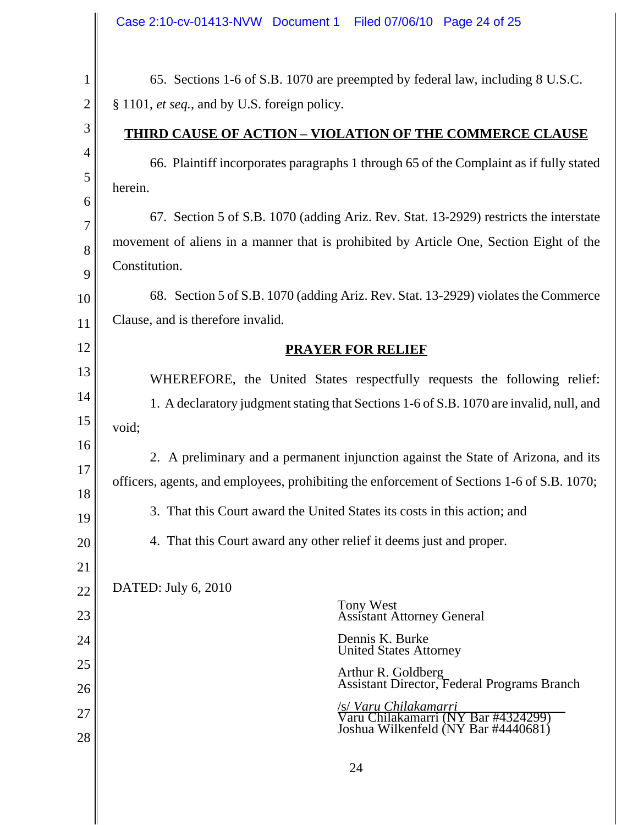|                | Case 2:10-cv-01413-NVW Document 1 Filed 07/06/10 Page 24 of 25                                    |  |  |
|----------------|---------------------------------------------------------------------------------------------------|--|--|
| $\mathbf 1$    | 65. Sections 1-6 of S.B. 1070 are preempted by federal law, including 8 U.S.C.                    |  |  |
| $\overline{2}$ | § 1101, et seq., and by U.S. foreign policy.                                                      |  |  |
| 3              | <b>THIRD CAUSE OF ACTION - VIOLATION OF THE COMMERCE CLAUSE</b>                                   |  |  |
| $\overline{4}$ |                                                                                                   |  |  |
| 5              | 66. Plaintiff incorporates paragraphs 1 through 65 of the Complaint as if fully stated            |  |  |
| 6              | herein.                                                                                           |  |  |
| 7              | 67. Section 5 of S.B. 1070 (adding Ariz. Rev. Stat. 13-2929) restricts the interstate             |  |  |
| 8              | movement of aliens in a manner that is prohibited by Article One, Section Eight of the            |  |  |
| 9              | Constitution.                                                                                     |  |  |
| 10             | 68. Section 5 of S.B. 1070 (adding Ariz. Rev. Stat. 13-2929) violates the Commerce                |  |  |
| 11             | Clause, and is therefore invalid.                                                                 |  |  |
| 12             | <b>PRAYER FOR RELIEF</b>                                                                          |  |  |
| 13             | WHEREFORE, the United States respectfully requests the following relief:                          |  |  |
| 14             | 1. A declaratory judgment stating that Sections 1-6 of S.B. 1070 are invalid, null, and           |  |  |
| 15             | void;                                                                                             |  |  |
| 16<br>17       | 2. A preliminary and a permanent injunction against the State of Arizona, and its                 |  |  |
| 18             | officers, agents, and employees, prohibiting the enforcement of Sections 1-6 of S.B. 1070;        |  |  |
| 19             | 3. That this Court award the United States its costs in this action; and                          |  |  |
| <b>20</b>      | 4. That this Court award any other relief it deems just and proper.                               |  |  |
| 21             |                                                                                                   |  |  |
| 22             | <b>DATED:</b> July 6, 2010                                                                        |  |  |
| 23             | Tony West<br><b>Assistant Attorney General</b>                                                    |  |  |
| 24             | Dennis K. Burke<br><b>United States Attorney</b>                                                  |  |  |
| 25             | Arthur R. Goldberg<br>Assistant Director, Federal Programs Branch                                 |  |  |
| 26             |                                                                                                   |  |  |
| 27             | S/Varu Chilakamarri<br>Varu Chilakamarri (NY Bar #4324299)<br>Joshua Wilkenfeld (NY Bar #4440681) |  |  |
| 28             |                                                                                                   |  |  |
|                | 24                                                                                                |  |  |